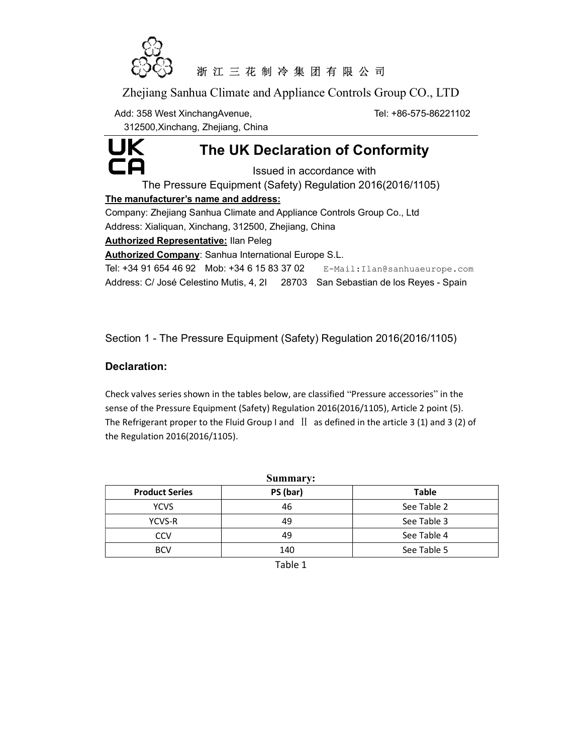

# 浙 江 三 花 制 冷 集 团 有 限 公 司

Zhejiang Sanhua Climate and Appliance Controls Group CO., LTD

Add: 358 West XinchangAvenue, The Controller of the Tel: +86-575-86221102

312500,Xinchang, Zhejiang, China



The UK Declaration of Conformity

Issued in accordance with

The Pressure Equipment (Safety) Regulation 2016(2016/1105)

#### The manufacturer's name and address:

Company: Zhejiang Sanhua Climate and Appliance Controls Group Co., Ltd Address: Xialiquan, Xinchang, 312500, Zhejiang, China

**Authorized Representative: Ilan Peleg** 

Authorized Company: Sanhua International Europe S.L.

Tel: +34 91 654 46 92 Mob: +34 6 15 83 37 02 E-Mail:Ilan@sanhuaeurope.com

Address: C/ José Celestino Mutis, 4, 2I 28703 San Sebastian de los Reyes - Spain

Section 1 - The Pressure Equipment (Safety) Regulation 2016(2016/1105)

### Declaration:

Check valves series shown in the tables below, are classified "Pressure accessories" in the sense of the Pressure Equipment (Safety) Regulation 2016(2016/1105), Article 2 point (5). The Refrigerant proper to the Fluid Group I and  $\text{II}$  as defined in the article 3 (1) and 3 (2) of the Regulation 2016(2016/1105).

| <b>Summary:</b>       |          |              |  |  |  |
|-----------------------|----------|--------------|--|--|--|
| <b>Product Series</b> | PS (bar) | <b>Table</b> |  |  |  |
| <b>YCVS</b>           | 46       | See Table 2  |  |  |  |
| YCVS-R                | 49       | See Table 3  |  |  |  |
| CCV                   | 49       | See Table 4  |  |  |  |
| <b>BCV</b>            | 140      | See Table 5  |  |  |  |

Table 1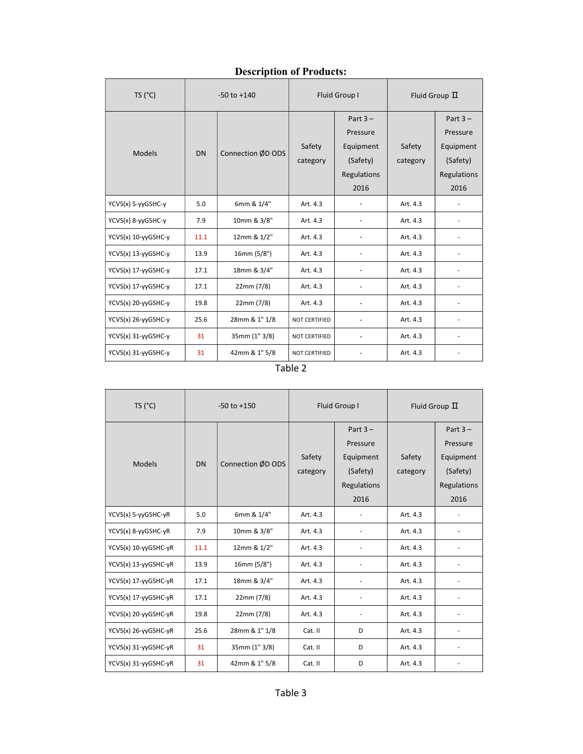## Description of Products:

| Description of Frounces. |                 |                   |                      |                                                                        |                    |                                                                        |
|--------------------------|-----------------|-------------------|----------------------|------------------------------------------------------------------------|--------------------|------------------------------------------------------------------------|
| TS (°C)                  | $-50$ to $+140$ |                   | Fluid Group I        |                                                                        | Fluid Group $\Pi$  |                                                                        |
| <b>Models</b>            | <b>DN</b>       | Connection ØD ODS | Safety<br>category   | Part $3 -$<br>Pressure<br>Equipment<br>(Safety)<br>Regulations<br>2016 | Safety<br>category | Part $3 -$<br>Pressure<br>Equipment<br>(Safety)<br>Regulations<br>2016 |
| YCVS(x) 5-yyGSHC-y       | 5.0             | 6mm & 1/4"        | Art. 4.3             |                                                                        | Art. 4.3           |                                                                        |
| YCVS(x) 8-yyGSHC-y       | 7.9             | 10mm & 3/8"       | Art. 4.3             |                                                                        | Art. 4.3           | $\overline{\phantom{a}}$                                               |
| YCVS(x) 10-yyGSHC-y      | 11.1            | 12mm & 1/2"       | Art. 4.3             |                                                                        | Art. 4.3           | $\overline{\phantom{a}}$                                               |
| YCVS(x) 13-yyGSHC-y      | 13.9            | 16mm (5/8")       | Art. 4.3             |                                                                        | Art. 4.3           | $\frac{1}{2}$                                                          |
| YCVS(x) 17-yyGSHC-y      | 17.1            | 18mm & 3/4"       | Art. 4.3             |                                                                        | Art. 4.3           |                                                                        |
| YCVS(x) 17-yyGSHC-y      | 17.1            | 22mm (7/8)        | Art. 4.3             |                                                                        | Art. 4.3           |                                                                        |
| YCVS(x) 20-yyGSHC-y      | 19.8            | 22mm (7/8)        | Art. 4.3             |                                                                        | Art. 4.3           |                                                                        |
| YCVS(x) 26-yyGSHC-y      | 25.6            | 28mm & 1" 1/8     | NOT CERTIFIED        |                                                                        | Art. 4.3           | $\overline{\phantom{a}}$                                               |
| YCVS(x) 31-yyGSHC-y      | 31              | 35mm (1" 3/8)     | <b>NOT CERTIFIED</b> |                                                                        | Art. 4.3           | $\frac{1}{2}$                                                          |
| YCVS(x) 31-yyGSHC-y      | 31              | 42mm & 1" 5/8     | <b>NOT CERTIFIED</b> |                                                                        | Art. 4.3           |                                                                        |

 $\overline{\phantom{0}}$ 

| TS (°C)              | $-50$ to $+150$ |                   | Fluid Group I |             | Fluid Group $\Pi$ |                              |
|----------------------|-----------------|-------------------|---------------|-------------|-------------------|------------------------------|
|                      |                 |                   |               | Part $3 -$  |                   | Part $3 -$                   |
|                      |                 |                   |               | Pressure    |                   | Pressure                     |
| <b>Models</b>        | <b>DN</b>       | Connection ØD ODS | Safety        | Equipment   | Safety            | Equipment                    |
|                      |                 |                   | category      | (Safety)    | category          | (Safety)                     |
|                      |                 |                   |               | Regulations |                   | Regulations                  |
|                      |                 |                   |               | 2016        |                   | 2016                         |
| YCVS(x) 5-yyGSHC-yR  | 5.0             | 6mm & 1/4"        | Art. 4.3      |             | Art. 4.3          |                              |
| YCVS(x) 8-yyGSHC-yR  | 7.9             | 10mm & 3/8"       | Art. 4.3      |             | Art. 4.3          | $\qquad \qquad \blacksquare$ |
| YCVS(x) 10-yyGSHC-yR | 11.1            | 12mm & 1/2"       | Art. 4.3      |             | Art. 4.3          |                              |
| YCVS(x) 13-yyGSHC-yR | 13.9            | 16mm (5/8")       | Art. 4.3      |             | Art. 4.3          | ٠                            |
| YCVS(x) 17-yyGSHC-yR | 17.1            | 18mm & 3/4"       | Art. 4.3      |             | Art. 4.3          | $\overline{\phantom{a}}$     |
| YCVS(x) 17-yyGSHC-yR | 17.1            | 22mm (7/8)        | Art. 4.3      |             | Art. 4.3          |                              |
| YCVS(x) 20-yyGSHC-yR | 19.8            | 22mm (7/8)        | Art. 4.3      |             | Art. 4.3          |                              |
| YCVS(x) 26-yyGSHC-yR | 25.6            | 28mm & 1" 1/8     | Cat. II       | D           | Art. 4.3          | $\overline{\phantom{a}}$     |
| YCVS(x) 31-yyGSHC-yR | 31              | 35mm (1" 3/8)     | Cat. II       | D           | Art. 4.3          | $\qquad \qquad \blacksquare$ |
| YCVS(x) 31-yyGSHC-yR | 31              | 42mm & 1" 5/8     | Cat. II       | D           | Art. 4.3          |                              |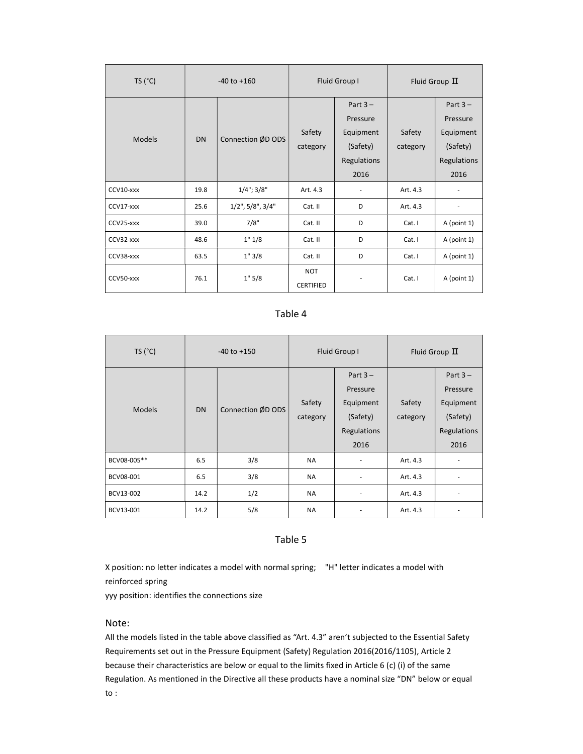| TS (°C)       | $-40$ to $+160$ |                           | Fluid Group I                  |             | Fluid Group $\Pi$ |                          |
|---------------|-----------------|---------------------------|--------------------------------|-------------|-------------------|--------------------------|
|               |                 |                           |                                | Part $3 -$  |                   | Part $3 -$               |
|               |                 |                           |                                | Pressure    |                   | Pressure                 |
| <b>Models</b> | <b>DN</b>       |                           | Safety                         | Equipment   | Safety            | Equipment                |
|               |                 | Connection ØD ODS         | category                       | (Safety)    | category          | (Safety)                 |
|               |                 |                           |                                | Regulations |                   | Regulations              |
|               |                 |                           |                                | 2016        |                   | 2016                     |
| CCV10-xxx     | 19.8            | $1/4$ "; $3/8$ "          | Art. 4.3                       |             | Art. 4.3          |                          |
| CCV17-xxx     | 25.6            | $1/2$ ", $5/8$ ", $3/4$ " | Cat. II                        | D           | Art. 4.3          | $\overline{\phantom{m}}$ |
| CCV25-xxx     | 39.0            | 7/8"                      | Cat. II                        | D           | Cat.1             | A (point 1)              |
| CCV32-xxx     | 48.6            | 1" 1/8                    | Cat. II                        | D           | Cat. I            | A (point 1)              |
| CCV38-xxx     | 63.5            | 1"3/8                     | Cat. II                        | D           | Cat. I            | A (point 1)              |
| CCV50-xxx     | 76.1            | 1" 5/8                    | <b>NOT</b><br><b>CERTIFIED</b> |             | Cat. I            | A (point 1)              |

#### Table 4

| TS (°C)       | $-40$ to $+150$ |                   | Fluid Group I      |                                                                       | Fluid Group $\Pi$  |                                                                        |
|---------------|-----------------|-------------------|--------------------|-----------------------------------------------------------------------|--------------------|------------------------------------------------------------------------|
| <b>Models</b> | <b>DN</b>       | Connection ØD ODS | Safety<br>category | Part $3-$<br>Pressure<br>Equipment<br>(Safety)<br>Regulations<br>2016 | Safety<br>category | Part $3 -$<br>Pressure<br>Equipment<br>(Safety)<br>Regulations<br>2016 |
| BCV08-005**   | 6.5             | 3/8               | <b>NA</b>          | ٠                                                                     | Art. 4.3           | ٠                                                                      |
| BCV08-001     | 6.5             | 3/8               | <b>NA</b>          | ٠                                                                     | Art. 4.3           |                                                                        |
| BCV13-002     | 14.2            | 1/2               | <b>NA</b>          | ٠                                                                     | Art. 4.3           |                                                                        |
| BCV13-001     | 14.2            | 5/8               | <b>NA</b>          |                                                                       | Art. 4.3           |                                                                        |

#### Table 5

X position: no letter indicates a model with normal spring; "H" letter indicates a model with reinforced spring

yyy position: identifies the connections size

#### Note:

All the models listed in the table above classified as "Art. 4.3" aren't subjected to the Essential Safety Requirements set out in the Pressure Equipment (Safety) Regulation 2016(2016/1105), Article 2 because their characteristics are below or equal to the limits fixed in Article 6 (c) (i) of the same Regulation. As mentioned in the Directive all these products have a nominal size "DN" below or equal to :